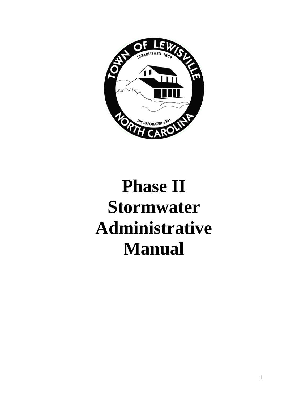

# **Phase II Stormwater Administrative Manual**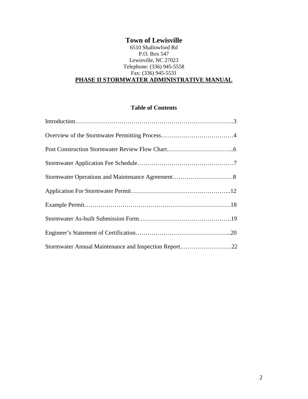#### **Town of Lewisville** 6510 Shallowford Rd P.O. Box 547 Lewisville, NC 27023 Telephone: (336) 945-5558 Fax: (336) 945-5531 **PHASE II STORMWATER ADMINISTRATIVE MANUAL**

#### **Table of Contents**

| Stormwater Annual Maintenance and Inspection Report22 |  |
|-------------------------------------------------------|--|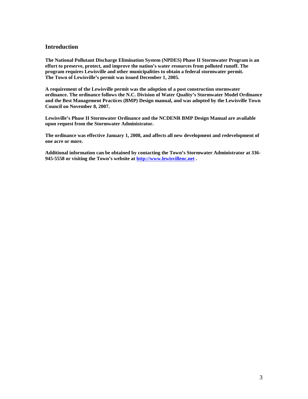#### **Introduction**

**The National Pollutant Discharge Elimination System (NPDES) Phase II Stormwater Program is an effort to preserve, protect, and improve the nation's water resources from polluted runoff. The program requires Lewisville and other municipalities to obtain a federal stormwater permit. The Town of Lewisville's permit was issued December 1, 2005.**

**A requirement of the Lewisville permit was the adoption of a post construction stormwater ordinance. The ordinance follows the N.C. Division of Water Quality's Stormwater Model Ordinance and the Best Management Practices (BMP) Design manual, and was adopted by the Lewisville Town Council on November 8, 2007.**

**Lewisville's Phase II Stormwater Ordinance and the NCDENR BMP Design Manual are available upon request from the Stormwater Administrator.**

**The ordinance was effective January 1, 2008, and affects all new development and redevelopment of one acre or more.**

**Additional information can be obtained by contacting the Town's Stormwater Administrator at 336- 945-5558 or visiting the Town's website at [http://www.lewisvillenc.net](http://www.lewisvillenc.net/) .**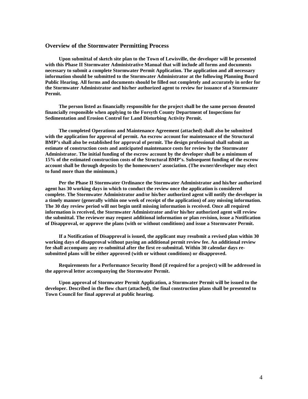#### **Overview of the Stormwater Permitting Process**

**Upon submittal of sketch site plan to the Town of Lewisville, the developer will be presented with this Phase II Stormwater Administrative Manual that will include all forms and documents necessary to submit a complete Stormwater Permit Application. The application and all necessary information should be submitted to the Stormwater Administrator at the following Planning Board Public Hearing. All forms and documents should be filled out completely and accurately in order for the Stormwater Administrator and his/her authorized agent to review for issuance of a Stormwater Permit.**

**The person listed as financially responsible for the project shall be the same person denoted financially responsible when applying to the Forsyth County Department of Inspections for Sedimentation and Erosion Control for Land Disturbing Activity Permit.**

**The completed Operations and Maintenance Agreement (attached) shall also be submitted with the application for approval of permit. An escrow account for maintenance of the Structural BMP's shall also be established for approval of permit. The design professional shall submit an estimate of construction costs and anticipated maintenance costs for review by the Stormwater Administrator. The initial funding of the escrow account by the developer shall be a minimum of 15% of the estimated construction costs of the Structural BMP's. Subsequent funding of the escrow account shall be through deposits by the homeowners' association. (The owner/developer may elect to fund more than the minimum.)**

**Per the Phase II Stormwater Ordinance the Stormwater Administrator and his/her authorized agent has 30 working days in which to conduct the review once the application is considered complete. The Stormwater Administrator and/or his/her authorized agent will notify the developer in a timely manner (generally within one week of receipt of the application) of any missing information. The 30 day review period will not begin until missing information is received. Once all required information is received, the Stormwater Administrator and/or his/her authorized agent will review the submittal. The reviewer may request additional information or plan revision, issue a Notification of Disapproval, or approve the plans (with or without conditions) and issue a Stormwater Permit.**

**If a Notification of Disapproval is issued, the applicant may resubmit a revised plan within 30 working days of disapproval without paying an additional permit review fee. An additional review fee shall accompany any re-submittal after the first re-submittal. Within 30 calendar days resubmitted plans will be either approved (with or without conditions) or disapproved.**

**Requirements for a Performance Security Bond (if required for a project) will be addressed in the approval letter accompanying the Stormwater Permit.**

**Upon approval of Stormwater Permit Application, a Stormwater Permit will be issued to the developer. Described in the flow chart (attached), the final construction plans shall be presented to Town Council for final approval at public hearing.**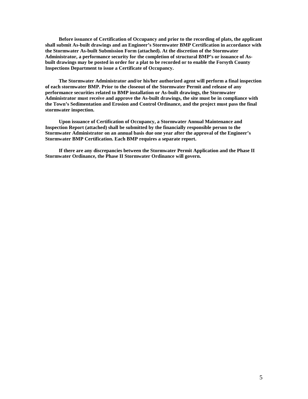**Before issuance of Certification of Occupancy and prior to the recording of plats, the applicant shall submit As-built drawings and an Engineer's Stormwater BMP Certification in accordance with the Stormwater As-built Submission Form (attached). At the discretion of the Stormwater Administrator, a performance security for the completion of structural BMP's or issuance of Asbuilt drawings may be posted in order for a plat to be recorded or to enable the Forsyth County Inspections Department to issue a Certificate of Occupancy.** 

**The Stormwater Administrator and/or his/her authorized agent will perform a final inspection of each stormwater BMP. Prior to the closeout of the Stormwater Permit and release of any performance securities related to BMP installation or As-built drawings, the Stormwater Administrator must receive and approve the As-built drawings, the site must be in compliance with the Town's Sedimentation and Erosion and Control Ordinance, and the project must pass the final stormwater inspection.**

**Upon issuance of Certification of Occupancy, a Stormwater Annual Maintenance and Inspection Report (attached) shall be submitted by the financially responsible person to the Stormwater Administrator on an annual basis due one year after the approval of the Engineer's Stormwater BMP Certification. Each BMP requires a separate report.**

**If there are any discrepancies between the Stormwater Permit Application and the Phase II Stormwater Ordinance, the Phase II Stormwater Ordinance will govern.**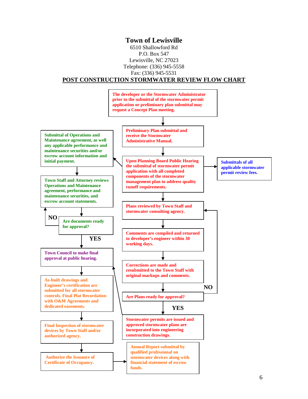#### **Town of Lewisville**

6510 Shallowford Rd P.O. Box 547 Lewisville, NC 27023 Telephone: (336) 945-5558 Fax: (336) 945-5531

#### **POST CONSTRUCTION STORMWATER REVIEW FLOW CHART**

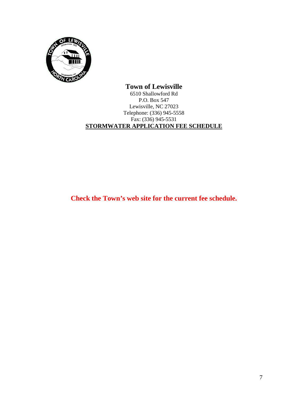

#### **Town of Lewisville** 6510 Shallowford Rd P.O. Box 547 Lewisville, NC 27023 Telephone: (336) 945-5558 Fax: (336) 945-5531 **STORMWATER APPLICATION FEE SCHEDULE**

**Check the Town's web site for the current fee schedule.**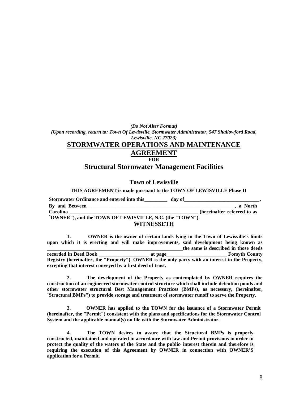*(Do Not Alter Format) (Upon recording, return to: Town Of Lewisville, Stormwater Administrator, 547 Shallowford Road, Lewisville, NC 27023)*

# **STORMWATER OPERATIONS AND MAINTENANCE**

## **AGREEMENT**

#### **FOR**

#### **Structural Stormwater Management Facilities**

#### **Town of Lewisville**

#### **THIS AGREEMENT is made pursuant to the TOWN OF LEWISVILLE Phase II**

| <b>Stormwater Ordinance and entered into this</b>        | day of                      |
|----------------------------------------------------------|-----------------------------|
| By and Between                                           | . a North                   |
| Carolina                                                 | (hereinafter referred to as |
| "OWNER"), and the TOWN OF LEWISVILLE, N.C. (the "TOWN"). |                             |
| <b>WITNESSETH</b>                                        |                             |

**1. OWNER is the owner of certain lands lying in the Town of Lewisville's limits upon which it is erecting and will make improvements, said development being known as \_\_\_\_\_\_\_\_\_\_\_\_\_\_\_\_\_\_\_\_\_\_\_\_\_\_\_\_\_\_\_\_\_\_\_\_\_\_\_\_\_\_\_\_\_\_\_\_\_\_\_\_\_\_the same is described in those deeds recorded in Deed Book \_\_\_\_\_\_\_\_\_\_\_\_\_\_\_\_\_\_\_\_ at page\_\_\_\_\_\_\_\_\_\_\_\_\_\_\_\_\_\_\_\_\_\_\_\_ Forsyth County Registry (hereinafter, the "Property"). OWNER is the only party with an interest in the Property, excepting that interest conveyed by a first deed of trust.**

**2. The development of the Property as contemplated by OWNER requires the construction of an engineered stormwater control structure which shall include detention ponds and other stormwater structural Best Management Practices (BMPs), as necessary, (hereinafter, "Structural BMPs") to provide storage and treatment of stormwater runoff to serve the Property.**

**3. OWNER has applied to the TOWN for the issuance of a Stormwater Permit (hereinafter, the "Permit") consistent with the plans and specifications for the Stormwater Control System and the applicable manual(s) on file with the Stormwater Administrator.**

**4. The TOWN desires to assure that the Structural BMPs is properly constructed, maintained and operated in accordance with law and Permit provisions in order to protect the quality of the waters of the State and the public, interest therein and therefore is requiring the execution of this Agreement by OWNER in connection with OWNER'S application for a Permit.**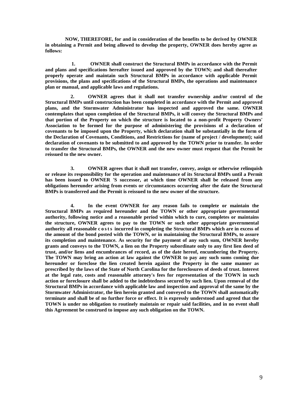**NOW, THEREFORE, for and in consideration of the benefits to be derived by OWNER in obtaining a Permit and being allowed to develop the property, OWNER does hereby agree as follows:**

 **1. OWNER shall construct the Structural BMPs in accordance with the Permit and plans and specifications hereafter issued and approved by the TOWN; and shall thereafter properly operate and maintain such Structural BMPs in accordance with applicable Permit provisions, the plans and specifications of the Structural BMPs, the operations and maintenance plan or manual, and applicable laws and regulations.**

**2. OWNER agrees that it shall not transfer ownership and/or control of the Structural BMPs until construction has been completed in accordance with the Permit and approved plans, and the Stormwater Administrator has inspected and approved the same. OWNER contemplates that upon completion of the Structural BMPs, it will convey the Structural BMPs and that portion of the Property on which the structure is located to a non-profit Property Owners' Association to be formed for the purpose of administering the provisions of a declaration of covenants to be imposed upon the Property, which declaration shall be substantially in the form of the Declaration of Covenants, Conditions, and Restrictions for (name of project / development); said declaration of covenants to be submitted to and approved by the TOWN prior to transfer. In order to transfer the Structural BMPs, the OWNER and the new owner must request that the Permit be reissued to the new owner.**

**3. OWNER agrees that it shall not transfer, convey, assign or otherwise relinquish or release its responsibility for the operation and maintenance of its Structural BMPs until a Permit has been issued to OWNER 'S successor, at which time OWNER shall be released from any obligations hereunder arising from events or circumstances occurring after the date the Structural BMPs is transferred and the Permit is reissued to the new owner of the structure.**

**4. In the event OWNER for any reason fails to complete or maintain the Structural BMPs as required hereunder and the TOWN or other appropriate governmental authority, following notice and a reasonable period within which to cure, completes or maintains the structure, OWNER agrees to pay to the TOWN or such other appropriate governmental authority all reasonable costs incurred in completing the Structural BMPs which are in excess of the amount of the bond posted with the TOWN, or in maintaining the Structural BMPs, to assure its completion and maintenance. As security for the payment of any such sum, OWNER hereby grants and conveys to the TOWN, a lien on the Property subordinate only to any first lien deed of trust, and/or liens and encumbrances of record, as of the date hereof, encumbering the Property. The TOWN may bring an action at law against the OWNER to pay any such sums coming due hereunder or foreclose the lien created herein against the Property in the same manner as prescribed by the laws of the State of North Carolina for the foreclosures of deeds of trust. Interest at the legal rate, costs and reasonable attorney's fees for representation of the TOWN in such action or foreclosure shall be added to the indebtedness secured by such lien. Upon removal of the Structural BMPs in accordance with applicable law and inspection and approval of the same by the Stormwater Administrator, the lien herein granted and conveyed to the TOWN shall automatically terminate and shall be of no further force or effect. It is expressly understood and agreed that the TOWN is under no obligation to routinely maintain or repair said facilities, and in no event shall this Agreement be construed to impose any such obligation on the TOWN.**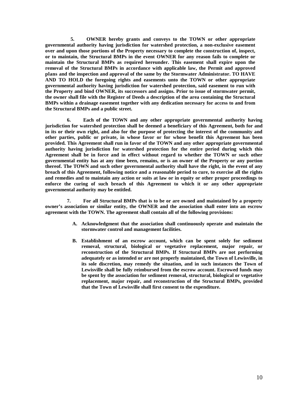**5. OWNER hereby grants and conveys to the TOWN or other appropriate governmental authority having jurisdiction for watershed protection, a non-exclusive easement over and upon those portions of the Property necessary to complete the construction of, inspect, or to maintain, the Structural BMPs in the event OWNER for any reason fails to complete or maintain the Structural BMPs as required hereunder. This easement shall expire upon the removal of the Structural BMPs in accordance with applicable law, the Permit and approved plans and the inspection and approval of the same by the Stormwater Administrator. TO HAVE AND TO HOLD the foregoing rights and easements unto the TOWN or other appropriate governmental authority having jurisdiction for watershed protection, said easement to run with the Property and bind OWNER, its successors and assigns. Prior to issue of stormwater permit, the owner shall file with the Register of Deeds a description of the area containing the Structural BMPs within a drainage easement together with any dedication necessary for access to and from the Structural BMPs and a public street.**

**6. Each of the TOWN and any other appropriate governmental authority having jurisdiction for watershed protection shall be deemed a beneficiary of this Agreement, both for and in its or their own right, and also for the purpose of protecting the interest of the community and other parties, public or private, in whose favor or for whose benefit this Agreement has been provided. This Agreement shall run in favor of the TOWN and any other appropriate governmental authority having jurisdiction for watershed protection for the entire period during which this Agreement shall be in force and in effect without regard to whether the TOWN or such other governmental entity has at any time been, remains, or is an owner of the Property or any portion thereof. The TOWN and such other governmental authority shall have the right, in the event of any breach of this Agreement, following notice and a reasonable period to cure, to exercise all the rights and remedies and to maintain any action or suits at law or in equity or other proper proceedings to enforce the curing of such breach of this Agreement to which it or any other appropriate governmental authority may be entitled.**

**7. For all Structural BMPs that is to be or are owned and maintained by a property owner's association or similar entity, the OWNER and the association shall enter into an escrow agreement with the TOWN. The agreement shall contain all of the following provisions:**

- **A. Acknowledgment that the association shall continuously operate and maintain the stormwater control and management facilities.**
- **B. Establishment of an escrow account, which can be spent solely for sediment removal, structural, biological or vegetative replacement, major repair, or reconstruction of the Structural BMPs. If Structural BMPs are not performing adequately or as intended or are not properly maintained, the Town of Lewisville, in its sole discretion, may remedy the situation, and in such instances the Town of Lewisville shall be fully reimbursed from the escrow account. Escrowed funds may be spent by the association for sediment removal, structural, biological or vegetative replacement, major repair, and reconstruction of the Structural BMPs, provided that the Town of Lewisville shall first consent to the expenditure.**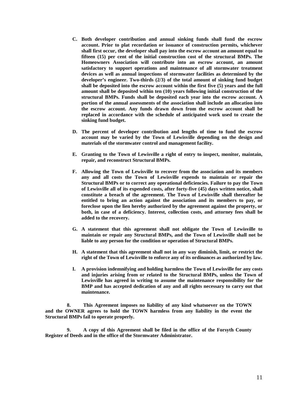- **C. Both developer contribution and annual sinking funds shall fund the escrow account. Prior to plat recordation or issuance of construction permits, whichever shall first occur, the developer shall pay into the escrow account an amount equal to fifteen (15) per cent of the initial construction cost of the structural BMPs. The Homeowners Association will contribute into an escrow account, an amount satisfactory to support operations and maintenance of all stormwater treatment devices as well as annual inspections of stormwater facilities as determined by the developer's engineer. Two-thirds (2/3) of the total amount of sinking fund budget shall be deposited into the escrow account within the first five (5) years and the full amount shall be deposited within ten (10) years following initial construction of the structural BMPs. Funds shall be deposited each year into the escrow account. A portion of the annual assessments of the association shall include an allocation into the escrow account. Any funds drawn down from the escrow account shall be replaced in accordance with the schedule of anticipated work used to create the sinking fund budget.**
- **D. The percent of developer contribution and lengths of time to fund the escrow account may be varied by the Town of Lewisville depending on the design and materials of the stormwater control and management facility.**
- **E. Granting to the Town of Lewisville a right of entry to inspect, monitor, maintain, repair, and reconstruct Structural BMPs.**
- **F. Allowing the Town of Lewisville to recover from the association and its members any and all costs the Town of Lewisville expends to maintain or repair the Structural BMPs or to correct any operational deficiencies. Failure to pay the Town of Lewisville all of its expended costs, after forty-five (45) days written notice, shall constitute a breach of the agreement. The Town of Lewisville shall thereafter be entitled to bring an action against the association and its members to pay, or foreclose upon the lien hereby authorized by the agreement against the property, or both, in case of a deficiency. Interest, collection costs, and attorney fees shall be added to the recovery.**
- **G. A statement that this agreement shall not obligate the Town of Lewisville to maintain or repair any Structural BMPs, and the Town of Lewisville shall not be liable to any person for the condition or operation of Structural BMPs.**
- **H. A statement that this agreement shall not in any way diminish, limit, or restrict the right of the Town of Lewisville to enforce any of its ordinances as authorized by law.**
- **I. A provision indemnifying and holding harmless the Town of Lewisville for any costs and injuries arising from or related to the Structural BMPs, unless the Town of Lewisville has agreed in writing to assume the maintenance responsibility for the BMP and has accepted dedication of any and all rights necessary to carry out that maintenance.**

**8. This Agreement imposes no liability of any kind whatsoever on the TOWN and the OWNER agrees to hold the TOWN harmless from any liability in the event the Structural BMPs fail to operate properly.**

**9. A copy of this Agreement shall be filed in the office of the Forsyth County Register of Deeds and in the office of the Stormwater Administrator.**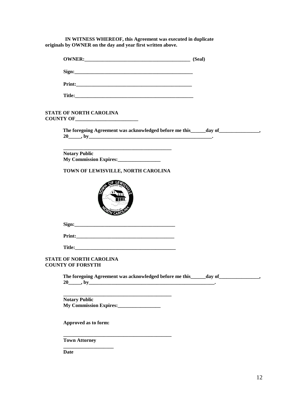**IN WITNESS WHEREOF, this Agreement was executed in duplicate originals by OWNER on the day and year first written above.**

| OWNER: (Seal)                                                                                                       |  |
|---------------------------------------------------------------------------------------------------------------------|--|
|                                                                                                                     |  |
|                                                                                                                     |  |
|                                                                                                                     |  |
| STATE OF NORTH CAROLINA                                                                                             |  |
| The foregoing Agreement was acknowledged before me this _____ day of _______________,                               |  |
| <b>Notary Public</b>                                                                                                |  |
| TOWN OF LEWISVILLE, NORTH CAROLINA                                                                                  |  |
|                                                                                                                     |  |
|                                                                                                                     |  |
|                                                                                                                     |  |
| STATE OF NORTH CAROLINA<br><b>COUNTY OF FORSYTH</b>                                                                 |  |
| The foregoing Agreement was acknowledged before me this _____ day of _______________,<br>$20$ <sub>_____</sub> , by |  |
| <b>Notary Public</b>                                                                                                |  |
| Approved as to form:                                                                                                |  |
| <b>Town Attorney</b>                                                                                                |  |

**Date**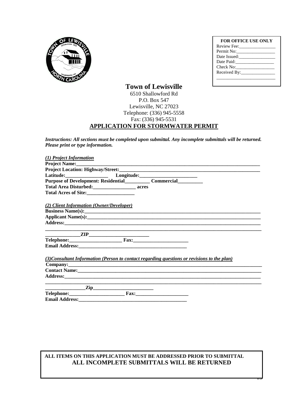

| <b>FOR OFFICE USE ONLY</b><br>Review Fee: |  |
|-------------------------------------------|--|
|                                           |  |
| Permit No:                                |  |
| Date Issued:                              |  |
| Date Paid:                                |  |
| Check No:                                 |  |
|                                           |  |

 $\overline{a}$ 

## **Town of Lewisville**

#### 6510 Shallowford Rd P.O. Box 547 Lewisville, NC 27023 Telephone: (336) 945-5558 Fax: (336) 945-5531 **APPLICATION FOR STORMWATER PERMIT**

*Instructions: All sections must be completed upon submittal. Any incomplete submittals will be returned. Please print or type information.* 

| (1) Project Information                                                                                                                                                                                                        |
|--------------------------------------------------------------------------------------------------------------------------------------------------------------------------------------------------------------------------------|
|                                                                                                                                                                                                                                |
|                                                                                                                                                                                                                                |
|                                                                                                                                                                                                                                |
| Purpose of Development: Residential_____________ Commercial____________                                                                                                                                                        |
| Total Area Disturbed: acres                                                                                                                                                                                                    |
|                                                                                                                                                                                                                                |
|                                                                                                                                                                                                                                |
| (2) Client Information (Owner/Developer)                                                                                                                                                                                       |
|                                                                                                                                                                                                                                |
|                                                                                                                                                                                                                                |
| Address: Andreas Address: Address: Address: Address: Address: Address: Address: Address: Address: Address: Address: Address: Address: Address: Address: Address: Address: Address: Address: Address: Address: Address: Address |
|                                                                                                                                                                                                                                |
| $\sqrt{ZIP}$                                                                                                                                                                                                                   |
|                                                                                                                                                                                                                                |
|                                                                                                                                                                                                                                |
|                                                                                                                                                                                                                                |
| (3) Consultant Information (Person to contact regarding questions or revisions to the plan)                                                                                                                                    |
|                                                                                                                                                                                                                                |
| Contact Name: 1988 and 2008 and 2008 and 2008 and 2008 and 2008 and 2008 and 2008 and 2008 and 2008 and 2008 and 2008 and 2008 and 2008 and 2008 and 2008 and 2008 and 2008 and 2008 and 2008 and 2008 and 2008 and 2008 and 2 |
|                                                                                                                                                                                                                                |
|                                                                                                                                                                                                                                |
| $\frac{\text{Zip}}{\text{Zip}}$                                                                                                                                                                                                |
|                                                                                                                                                                                                                                |
|                                                                                                                                                                                                                                |
|                                                                                                                                                                                                                                |

#### **ALL ITEMS ON THIS APPLICATION MUST BE ADDRESSED PRIOR TO SUBMITTAL ALL INCOMPLETE SUBMITTALS WILL BE RETURNED**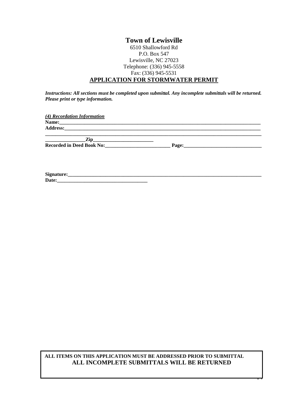*Instructions: All sections must be completed upon submittal. Any incomplete submittals will be returned. Please print or type information.* 

| (4) Recordation Information         |                                                                                                                                                                                                                                |  |
|-------------------------------------|--------------------------------------------------------------------------------------------------------------------------------------------------------------------------------------------------------------------------------|--|
|                                     |                                                                                                                                                                                                                                |  |
|                                     |                                                                                                                                                                                                                                |  |
|                                     |                                                                                                                                                                                                                                |  |
| <u>Zip_________________________</u> |                                                                                                                                                                                                                                |  |
| <b>Recorded in Deed Book No:</b>    | Page: 2008 2009 2010 2021 2022 2023 2024 2025 2020 2021 2022 2023 2024 2022 2023 2024 2025 2026 2027 2028 2021 2022 2023 2024 2025 2026 2027 2028 2027 2028 2021 2022 2023 2024 2025 2027 2028 2027 2027 2028 2027 2028 2027 2 |  |
|                                     |                                                                                                                                                                                                                                |  |
|                                     |                                                                                                                                                                                                                                |  |

| $\sim$<br>. .                                           |  |
|---------------------------------------------------------|--|
| -<br><u>.</u><br>__________________<br>_______<br>_____ |  |

#### **ALL ITEMS ON THIS APPLICATION MUST BE ADDRESSED PRIOR TO SUBMITTAL ALL INCOMPLETE SUBMITTALS WILL BE RETURNED**

 $\overline{ }$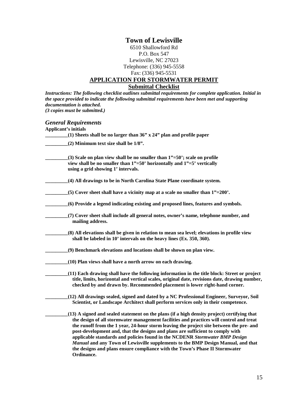*Instructions: The following checklist outlines submittal requirements for complete application. Initial in the space provided to indicate the following submittal requirements have been met and supporting documentation is attached. (3 copies must be submitted.)*

#### *General Requirements*

| <b>Applicant's initials</b>                                                                                                                                                                                                                                                                                                                                                                                                                                                                                                                                                                                                         |
|-------------------------------------------------------------------------------------------------------------------------------------------------------------------------------------------------------------------------------------------------------------------------------------------------------------------------------------------------------------------------------------------------------------------------------------------------------------------------------------------------------------------------------------------------------------------------------------------------------------------------------------|
| $(1)$ Sheets shall be no larger than 36" x 24" plan and profile paper                                                                                                                                                                                                                                                                                                                                                                                                                                                                                                                                                               |
| $(2)$ Minimum text size shall be $1/8$ ".                                                                                                                                                                                                                                                                                                                                                                                                                                                                                                                                                                                           |
| $(3)$ Scale on plan view shall be no smaller than $1" = 50$ ; scale on profile<br>view shall be no smaller than 1"=50' horizontally and 1"=5' vertically<br>using a grid showing 1' intervals.                                                                                                                                                                                                                                                                                                                                                                                                                                      |
| (4) All drawings to be in North Carolina State Plane coordinate system.                                                                                                                                                                                                                                                                                                                                                                                                                                                                                                                                                             |
| $(5)$ Cover sheet shall have a vicinity map at a scale no smaller than $1"=200'$ .                                                                                                                                                                                                                                                                                                                                                                                                                                                                                                                                                  |
| (6) Provide a legend indicating existing and proposed lines, features and symbols.                                                                                                                                                                                                                                                                                                                                                                                                                                                                                                                                                  |
| (7) Cover sheet shall include all general notes, owner's name, telephone number, and<br>mailing address.                                                                                                                                                                                                                                                                                                                                                                                                                                                                                                                            |
| (8) All elevations shall be given in relation to mean sea level; elevations in profile view<br>shall be labeled in 10' intervals on the heavy lines (Ex. 350, 360).                                                                                                                                                                                                                                                                                                                                                                                                                                                                 |
| (9) Benchmark elevations and locations shall be shown on plan view.                                                                                                                                                                                                                                                                                                                                                                                                                                                                                                                                                                 |
| (10) Plan views shall have a north arrow on each drawing.                                                                                                                                                                                                                                                                                                                                                                                                                                                                                                                                                                           |
| (11) Each drawing shall have the following information in the title block: Street or project<br>title, limits, horizontal and vertical scales, original date, revisions date, drawing number,<br>checked by and drawn by. Recommended placement is lower right-hand corner.                                                                                                                                                                                                                                                                                                                                                         |
| (12) All drawings sealed, signed and dated by a NC Professional Engineer, Surveyor, Soil<br>Scientist, or Landscape Architect shall perform services only in their competence.                                                                                                                                                                                                                                                                                                                                                                                                                                                      |
| (13) A signed and sealed statement on the plans (if a high density project) certifying that<br>the design of all stormwater management facilities and practices will control and treat<br>the runoff from the 1 year, 24-hour storm leaving the project site between the pre- and<br>post-development and, that the designs and plans are sufficient to comply with<br>applicable standards and policies found in the NCDENR Stormwater BMP Design<br>Manual and any Town of Lewisville supplements to the BMP Design Manual, and that<br>the designs and plans ensure compliance with the Town's Phase II Stormwater<br>Ordinance. |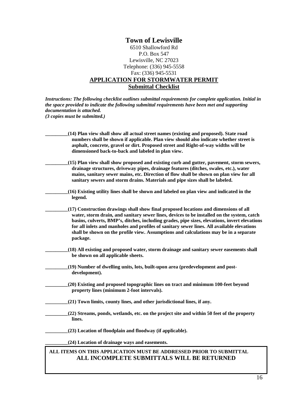*Instructions: The following checklist outlines submittal requirements for complete application. Initial in the space provided to indicate the following submittal requirements have been met and supporting documentation is attached. (3 copies must be submitted.)*

| (14) Plan view shall show all actual street names (existing and proposed). State road<br>numbers shall be shown if applicable. Plan view should also indicate whether street is<br>asphalt, concrete, gravel or dirt. Proposed street and Right-of-way widths will be<br>dimensioned back-to-back and labeled in plan view.                                                                                                                                                            |
|----------------------------------------------------------------------------------------------------------------------------------------------------------------------------------------------------------------------------------------------------------------------------------------------------------------------------------------------------------------------------------------------------------------------------------------------------------------------------------------|
| (15) Plan view shall show proposed and existing curb and gutter, pavement, storm sewers,<br>drainage structures, driveway pipes, drainage features (ditches, swales, etc.), water<br>mains, sanitary sewer mains, etc. Direction of flow shall be shown on plan view for all<br>sanitary sewers and storm drains. Materials and pipe sizes shall be labeled.                                                                                                                           |
| (16) Existing utility lines shall be shown and labeled on plan view and indicated in the<br>legend.                                                                                                                                                                                                                                                                                                                                                                                    |
| (17) Construction drawings shall show final proposed locations and dimensions of all<br>water, storm drain, and sanitary sewer lines, devices to be installed on the system, catch<br>basins, culverts, BMP's, ditches, including grades, pipe sizes, elevations, invert elevations<br>for all inlets and manholes and profiles of sanitary sewer lines. All available elevations<br>shall be shown on the profile view. Assumptions and calculations may be in a separate<br>package. |
| (18) All existing and proposed water, storm drainage and sanitary sewer easements shall<br>be shown on all applicable sheets.                                                                                                                                                                                                                                                                                                                                                          |
| (19) Number of dwelling units, lots, built-upon area (predevelopment and post-<br>development).                                                                                                                                                                                                                                                                                                                                                                                        |
| (20) Existing and proposed topographic lines on tract and minimum 100-feet beyond<br>property lines (minimum 2-foot intervals).                                                                                                                                                                                                                                                                                                                                                        |
| (21) Town limits, county lines, and other jurisdictional lines, if any.                                                                                                                                                                                                                                                                                                                                                                                                                |
| (22) Streams, ponds, wetlands, etc. on the project site and within 50 feet of the property<br>lines.                                                                                                                                                                                                                                                                                                                                                                                   |
| (23) Location of floodplain and floodway (if applicable).                                                                                                                                                                                                                                                                                                                                                                                                                              |
| (24) Location of drainage ways and easements.                                                                                                                                                                                                                                                                                                                                                                                                                                          |
| ALL ITEMS ON THIS APPLICATION MUST BE ADDRESSED PRIOR TO SUBMITTAL<br>ALL INCOMPLETE SUBMITTALS WILL BE RETURNED                                                                                                                                                                                                                                                                                                                                                                       |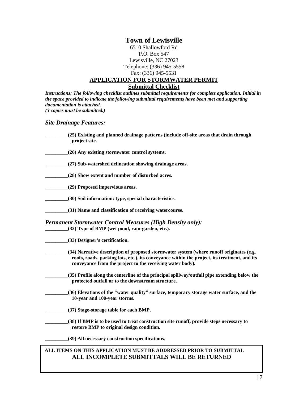*Instructions: The following checklist outlines submittal requirements for complete application. Initial in the space provided to indicate the following submittal requirements have been met and supporting documentation is attached. (3 copies must be submitted.)*

#### *Site Drainage Features:*

| (25) Existing and planned drainage patterns (include off-site areas that drain through<br>project site.                                                                                                                                              |
|------------------------------------------------------------------------------------------------------------------------------------------------------------------------------------------------------------------------------------------------------|
| (26) Any existing stormwater control systems.                                                                                                                                                                                                        |
| (27) Sub-watershed delineation showing drainage areas.                                                                                                                                                                                               |
| (28) Show extent and number of disturbed acres.                                                                                                                                                                                                      |
| (29) Proposed impervious areas.                                                                                                                                                                                                                      |
| (30) Soil information: type, special characteristics.                                                                                                                                                                                                |
| (31) Name and classification of receiving watercourse.                                                                                                                                                                                               |
| <b>Permanent Stormwater Control Measures (High Density only):</b><br>(32) Type of BMP (wet pond, rain-garden, etc.).                                                                                                                                 |
| (33) Designer's certification.                                                                                                                                                                                                                       |
| (34) Narrative description of proposed stormwater system (where runoff originates (e.g.<br>roofs, roads, parking lots, etc.), its conveyance within the project, its treatment, and its<br>conveyance from the project to the receiving water body). |
| (35) Profile along the centerline of the principal spillway/outfall pipe extending below the<br>protected outfall or to the downstream structure.                                                                                                    |
| (36) Elevations of the "water quality" surface, temporary storage water surface, and the<br>10-year and 100-year storms.                                                                                                                             |
| (37) Stage-storage table for each BMP.                                                                                                                                                                                                               |
| (38) If BMP is to be used to treat construction site runoff, provide steps necessary to<br>restore BMP to original design condition.                                                                                                                 |
| (39) All necessary construction specifications.                                                                                                                                                                                                      |

#### **ALL ITEMS ON THIS APPLICATION MUST BE ADDRESSED PRIOR TO SUBMITTAL ALL INCOMPLETE SUBMITTALS WILL BE RETURNED**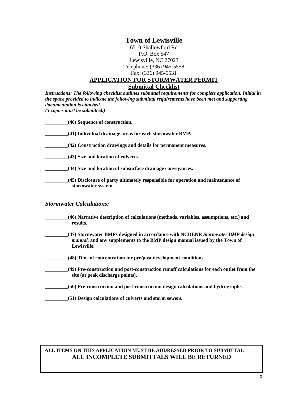*Instructions: The following checklist outlines submittal requirements for complete application. Initial in the space provided to indicate the following submittal requirements have been met and supporting documentation is attached. (3 copies must be submitted.)*

| (40) Sequence of construction.                                                                         |
|--------------------------------------------------------------------------------------------------------|
| (41) Individual drainage areas for each stormwater BMP.                                                |
| (42) Construction drawings and details for permanent measures.                                         |
| (43) Size and location of culverts.                                                                    |
| (44) Size and location of subsurface drainage convevances.                                             |
| (45) Disclosure of party ultimately responsible for operation and maintenance of<br>stormwater system. |

#### *Stormwater Calculations:*

- **\_\_\_\_\_\_\_\_\_(46) Narrative description of calculations (methods, variables, assumptions, etc.) and results.**
- **\_\_\_\_\_\_\_\_\_(47) Stormwater BMPs designed in accordance with NCDENR** *Stormwater BMP design manual,* **and any supplements to the BMP design manual issued by the Town of Lewisville.**
- **\_\_\_\_\_\_\_\_\_(48) Time of concentration for pre/post development conditions.**
- **\_\_\_\_\_\_\_\_\_(49) Pre-construction and post-construction runoff calculations for each outlet from the site (at peak discharge points).**
- **\_\_\_\_\_\_\_\_\_(50) Pre-construction and post-construction design calculations and hydrographs.**
- **\_\_\_\_\_\_\_\_\_(51) Design calculations of culverts and storm sewers.**

#### **ALL ITEMS ON THIS APPLICATION MUST BE ADDRESSED PRIOR TO SUBMITTAL ALL INCOMPLETE SUBMITTALS WILL BE RETURNED**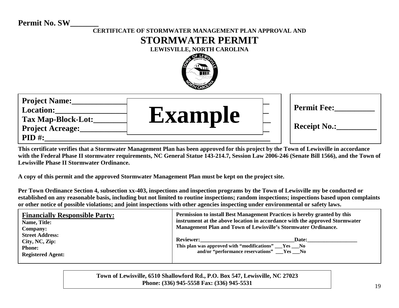# **Permit No. SW\_\_\_\_\_\_\_**

# **CERTIFICATE OF STORMWATER MANAGEMENT PLAN APPROVAL AND STORMWATER PERMIT LEWISVILLE, NORTH CAROLINA**



**This certificate verifies that a Stormwater Management Plan has been approved for this project by the Town of Lewisville in accordance with the Federal Phase II stormwater requirements, NC General Statue 143-214.7, Session Law 2006-246 (Senate Bill 1566), and the Town of Lewisville Phase II Stormwater Ordinance.**

**A copy of this permit and the approved Stormwater Management Plan must be kept on the project site.**

**Per Town Ordinance Section 4, subsection xx-403, inspections and inspection programs by the Town of Lewisville my be conducted or established on any reasonable basis, including but not limited to routine inspections; random inspections; inspections based upon complaints or other notice of possible violations; and joint inspections with other agencies inspecting under environmental or safety laws.**

| <b>Financially Responsible Party:</b><br>Name, Title:<br><b>Company:</b><br><b>Street Address:</b><br>City, NC, Zip:<br><b>Phone:</b><br><b>Registered Agent:</b> | Permission to install Best Management Practices is hereby granted by this<br>instrument at the above location in accordance with the approved Stormwater<br>Management Plan and Town of Lewisville's Stormwater Ordinance. |       |
|-------------------------------------------------------------------------------------------------------------------------------------------------------------------|----------------------------------------------------------------------------------------------------------------------------------------------------------------------------------------------------------------------------|-------|
|                                                                                                                                                                   | <b>Reviewer:</b><br>This plan was approved with "modifications" ___Yes ___No<br>and/or "performance reservations" Yes No                                                                                                   | Date: |

**Town of Lewisville, 6510 Shallowford Rd., P.O. Box 547, Lewisville, NC 27023 Phone: (336) 945-5558 Fax: (336) 945-5531**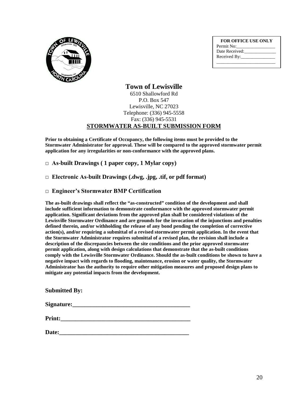

| <b>FOR OFFICE USE ONLY</b> |
|----------------------------|
| Permit No:                 |
| Date Received:             |
| Received By:               |
|                            |

#### **Town of Lewisville** 6510 Shallowford Rd P.O. Box 547 Lewisville, NC 27023 Telephone: (336) 945-5558 Fax: (336) 945-5531 **STORMWATER AS-BUILT SUBMISSION FORM**

**Prior to obtaining a Certificate of Occupancy, the following items must be provided to the Stormwater Administrator for approval. These will be compared to the approved stormwater permit application for any irregularities or non-conformance with the approved plans.**

**□ As-built Drawings ( 1 paper copy, 1 Mylar copy)**

**□ Electronic As-built Drawings (.dwg, .jpg, .tif, or pdf format)**

**□ Engineer's Stormwater BMP Certification**

**The as-built drawings shall reflect the "as-constructed" condition of the development and shall include sufficient information to demonstrate conformance with the approved stormwater permit application. Significant deviations from the approved plan shall be considered violations of the Lewisville Stormwater Ordinance and are grounds for the invocation of the injunctions and penalties defined therein, and/or withholding the release of any bond pending the completion of corrective action(s), and/or requiring a submittal of a revised stormwater permit application. In the event that the Stormwater Administrator requires submittal of a revised plan, the revision shall include a description of the discrepancies between the site conditions and the prior approved stormwater permit application, along with design calculations that demonstrate that the as-built conditions comply with the Lewisville Stormwater Ordinance. Should the as-built conditions be shown to have a negative impact with regards to flooding, maintenance, erosion or water quality, the Stormwater Administrator has the authority to require other mitigation measures and proposed design plans to mitigate any potential impacts from the development.**

**Submitted By:**

| Signature: |  |
|------------|--|
|            |  |

**Print:\_\_\_\_\_\_\_\_\_\_\_\_\_\_\_\_\_\_\_\_\_\_\_\_\_\_\_\_\_\_\_\_\_\_\_\_\_\_\_\_\_\_\_**

Date: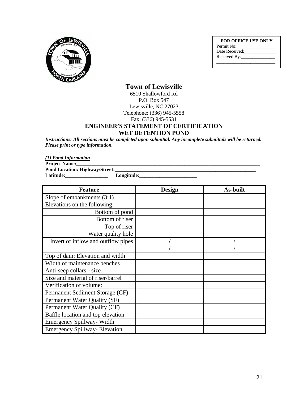

**FOR OFFICE USE ONLY** Permit No: Date Received: Received By: \_\_\_\_\_\_\_\_\_\_\_\_\_\_\_\_\_\_\_\_\_\_\_\_\_\_

## **Town of Lewisville**

6510 Shallowford Rd P.O. Box 547 Lewisville, NC 27023 Telephone: (336) 945-5558 Fax: (336) 945-5531

## **ENGINEER'S STATEMENT OF CERTIFICATION**

#### **WET DETENTION POND**

*Instructions: All sections must be completed upon submittal. Any incomplete submittals will be returned. Please print or type information.* 

*(1) Pond Information*

**Project Name:\_\_\_\_\_\_\_\_\_\_\_\_\_\_\_\_\_\_\_\_\_\_\_\_\_\_\_\_\_\_\_\_\_\_\_\_\_\_\_\_\_\_\_\_\_\_\_\_\_\_\_\_\_\_\_\_\_\_\_\_\_\_\_\_\_\_\_\_\_\_\_\_\_**

**Pond Location: Highway/Street:\_\_\_\_\_\_\_\_\_\_\_\_\_\_\_\_\_\_\_\_\_\_\_\_\_\_\_\_\_\_\_\_\_\_\_\_\_\_\_\_\_\_\_\_\_\_\_\_\_\_\_\_\_\_\_\_** Latitude:

| <b>Feature</b>                       | <b>Design</b> | <b>As-built</b> |
|--------------------------------------|---------------|-----------------|
| Slope of embankments $(3:1)$         |               |                 |
| Elevations on the following:         |               |                 |
| Bottom of pond                       |               |                 |
| Bottom of riser                      |               |                 |
| Top of riser                         |               |                 |
| Water quality hole                   |               |                 |
| Invert of inflow and outflow pipes   |               |                 |
|                                      |               |                 |
| Top of dam: Elevation and width      |               |                 |
| Width of maintenance benches         |               |                 |
| Anti-seep collars - size             |               |                 |
| Size and material of riser/barrel    |               |                 |
| Verification of volume:              |               |                 |
| Permanent Sediment Storage (CF)      |               |                 |
| Permanent Water Quality (SF)         |               |                 |
| Permanent Water Quality (CF)         |               |                 |
| Baffle location and top elevation    |               |                 |
| <b>Emergency Spillway-Width</b>      |               |                 |
| <b>Emergency Spillway- Elevation</b> |               |                 |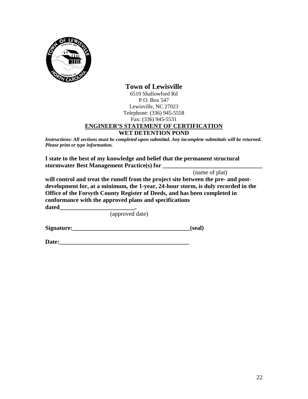

## **Town of Lewisville**

6510 Shallowford Rd P.O. Box 547 Lewisville, NC 27023 Telephone: (336) 945-5558 Fax: (336) 945-5531

## **ENGINEER'S STATEMENT OF CERTIFICATION**

#### **WET DETENTION POND**

*Instructions: All sections must be completed upon submittal. Any incomplete submittals will be returned. Please print or type information.* 

**I state to the best of my knowledge and belief that the permanent structural stormwater Best Management Practice(s) for \_\_\_\_\_\_\_\_\_\_\_\_\_\_\_\_\_\_\_\_\_\_\_\_\_\_\_\_\_\_\_\_\_**

(name of plat)

**will control and treat the runoff from the project site between the pre- and postdevelopment for, at a minimum, the 1-year, 24-hour storm, is duly recorded in the Office of the Forsyth County Register of Deeds, and has been completed in conformance with the approved plans and specifications dated\_\_\_\_\_\_\_\_\_\_\_\_\_\_\_\_\_\_\_\_\_\_\_\_\_.**

(approved date)

**Signature:\_\_\_\_\_\_\_\_\_\_\_\_\_\_\_\_\_\_\_\_\_\_\_\_\_\_\_\_\_\_\_\_\_\_\_\_\_\_\_(seal)**

Date: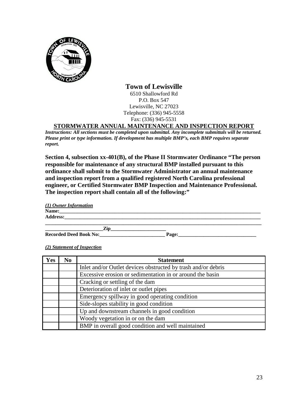

**Town of Lewisville** 6510 Shallowford Rd P.O. Box 547 Lewisville, NC 27023 Telephone: (336) 945-5558 Fax: (336) 945-5531

## **STORMWATER ANNUAL MAINTENANCE AND INSPECTION REPORT**

*Instructions: All sections must be completed upon submittal. Any incomplete submittals will be returned. Please print or type information. If development has multiple BMP's, each BMP requires separate report.*

**Section 4, subsection xx-401(B), of the Phase II Stormwater Ordinance "The person responsible for maintenance of any structural BMP installed pursuant to this ordinance shall submit to the Stormwater Administrator an annual maintenance and inspection report from a qualified registered North Carolina professional engineer, or Certified Stormwater BMP Inspection and Maintenance Professional. The inspection report shall contain all of the following:"**

| (1) Owner Information         |       |  |
|-------------------------------|-------|--|
| Name:                         |       |  |
| <b>Address:</b>               |       |  |
|                               |       |  |
| Zin                           |       |  |
| <b>Recorded Deed Book No:</b> | Page: |  |

| Yes | N <sub>0</sub> | <b>Statement</b>                                              |
|-----|----------------|---------------------------------------------------------------|
|     |                | Inlet and/or Outlet devices obstructed by trash and/or debris |
|     |                | Excessive erosion or sedimentation in or around the basin     |
|     |                | Cracking or settling of the dam                               |
|     |                | Deterioration of inlet or outlet pipes                        |
|     |                | Emergency spillway in good operating condition                |
|     |                | Side-slopes stability in good condition                       |
|     |                | Up and downstream channels in good condition                  |
|     |                | Woody vegetation in or on the dam                             |
|     |                | BMP in overall good condition and well maintained             |

*(2) Statement of Inspection*